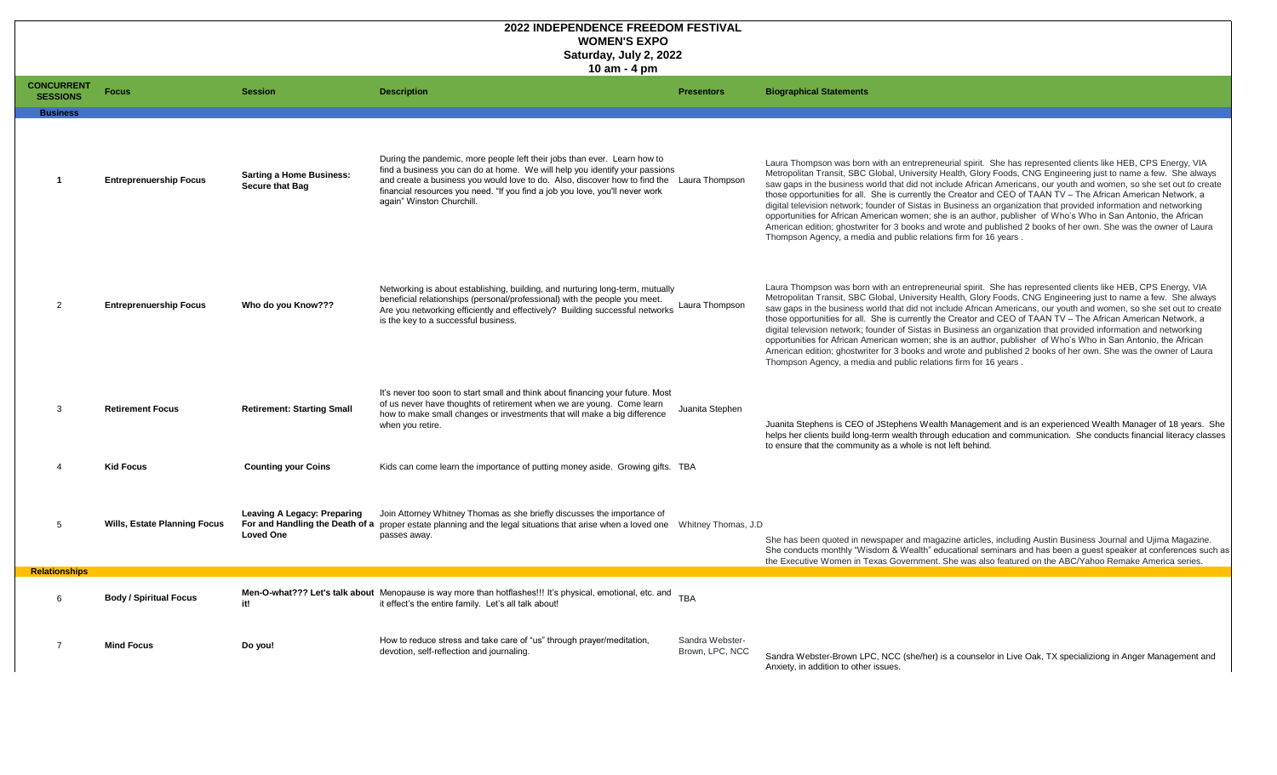|                                      |                                     |                                                           | Saturday, July 2, 2022<br>$10$ am $-$ 4 pm                                                                                                                                                                                                                                                                                                                        |                                           |                                                                                                                                                                                                                                                                                                                                                                                                                                       |
|--------------------------------------|-------------------------------------|-----------------------------------------------------------|-------------------------------------------------------------------------------------------------------------------------------------------------------------------------------------------------------------------------------------------------------------------------------------------------------------------------------------------------------------------|-------------------------------------------|---------------------------------------------------------------------------------------------------------------------------------------------------------------------------------------------------------------------------------------------------------------------------------------------------------------------------------------------------------------------------------------------------------------------------------------|
| <b>CONCURRENT</b><br><b>SESSIONS</b> | <b>Focus</b>                        | <b>Session</b>                                            | <b>Description</b>                                                                                                                                                                                                                                                                                                                                                | <b>Presentors</b>                         | <b>Biographical Statements</b>                                                                                                                                                                                                                                                                                                                                                                                                        |
| <b>Business</b>                      |                                     |                                                           |                                                                                                                                                                                                                                                                                                                                                                   |                                           |                                                                                                                                                                                                                                                                                                                                                                                                                                       |
|                                      | <b>Entreprenuership Focus</b>       | <b>Sarting a Home Business:</b><br><b>Secure that Bag</b> | During the pandemic, more people left their jobs than ever. Learn how to<br>find a business you can do at home. We will help you identify your passions<br>and create a business you would love to do. Also, discover how to find the Laura Thompson<br>financial resources you need. "If you find a job you love, you'll never work<br>again" Winston Churchill. |                                           | Laura Thompson was born with an entrepreneuria<br>Metropolitan Transit, SBC Global, University Heal<br>saw gaps in the business world that did not includ<br>those opportunities for all. She is currently the Cr<br>digital television network; founder of Sistas in Bus<br>opportunities for African American women; she is<br>American edition; ghostwriter for 3 books and wro<br>Thompson Agency, a media and public relations f |
|                                      | <b>Entreprenuership Focus</b>       | <b>Who do you Know???</b>                                 | Networking is about establishing, building, and nurturing long-term, mutually<br>beneficial relationships (personal/professional) with the people you meet.<br>Are you networking efficiently and effectively? Building successful networks<br>is the key to a successful business.                                                                               | Laura Thompson                            | Laura Thompson was born with an entrepreneuria<br>Metropolitan Transit, SBC Global, University Heal<br>saw gaps in the business world that did not includ<br>those opportunities for all. She is currently the Cr<br>digital television network; founder of Sistas in Bus<br>opportunities for African American women; she is<br>American edition; ghostwriter for 3 books and wro<br>Thompson Agency, a media and public relations f |
|                                      | <b>Retirement Focus</b>             | <b>Retirement: Starting Small</b>                         | It's never too soon to start small and think about financing your future. Most<br>of us never have thoughts of retirement when we are young. Come learn<br>how to make small changes or investments that will make a big difference<br>when you retire.                                                                                                           | <b>Juanita Stephen</b>                    | Juanita Stephens is CEO of JStephens Wealth M<br>helps her clients build long-term wealth through ee<br>to ensure that the community as a whole is not left                                                                                                                                                                                                                                                                           |
|                                      | <b>Kid Focus</b>                    | <b>Counting your Coins</b>                                | Kids can come learn the importance of putting money aside. Growing gifts. TBA                                                                                                                                                                                                                                                                                     |                                           |                                                                                                                                                                                                                                                                                                                                                                                                                                       |
|                                      |                                     |                                                           |                                                                                                                                                                                                                                                                                                                                                                   |                                           |                                                                                                                                                                                                                                                                                                                                                                                                                                       |
|                                      | <b>Wills, Estate Planning Focus</b> | <b>Leaving A Legacy: Preparing</b><br><b>Loved One</b>    | Join Attorney Whitney Thomas as she briefly discusses the importance of<br>For and Handling the Death of a proper estate planning and the legal situations that arise when a loved one Whitney Thomas, J.D<br>passes away.                                                                                                                                        |                                           | She has been quoted in newspaper and magazine<br>She conducts monthly "Wisdom & Wealth" educar<br>the Executive Women in Texas Government. She                                                                                                                                                                                                                                                                                        |
| <b>Relationships</b>                 |                                     |                                                           |                                                                                                                                                                                                                                                                                                                                                                   |                                           |                                                                                                                                                                                                                                                                                                                                                                                                                                       |
| 6                                    | <b>Body / Spiritual Focus</b>       | it!                                                       | Men-O-what??? Let's talk about Menopause is way more than hotflashes!!! It's physical, emotional, etc. and TBA<br>it effect's the entire family. Let's all talk about!                                                                                                                                                                                            |                                           |                                                                                                                                                                                                                                                                                                                                                                                                                                       |
|                                      | <b>Mind Focus</b>                   | Do you!                                                   | How to reduce stress and take care of "us" through prayer/meditation,<br>devotion, self-reflection and journaling.                                                                                                                                                                                                                                                | <b>Sandra Webster-</b><br>Brown, LPC, NCC | Sandra Webster-Brown LPC, NCC (she/her) is a<br>Anxiety, in addition to other issues.                                                                                                                                                                                                                                                                                                                                                 |

al spirit. She has represented clients like HEB, CPS Energy, VIA alth, Glory Foods, CNG Engineering just to name a few. She always de African Americans, our youth and women, so she set out to create reator and CEO of TAAN TV – The African American Network, a siness an organization that provided information and networking s an author, publisher of Who's Who in San Antonio, the African ote and published 2 books of her own. She was the owner of Laura firm for 16 years .

ial spirit. She has represented clients like HEB, CPS Energy, VIA alth, Glory Foods, CNG Engineering just to name a few. She always de African Americans, our youth and women, so she set out to create reator and CEO of TAAN TV – The African American Network, a siness an organization that provided information and networking s an author, publisher of Who's Who in San Antonio, the African ote and published 2 books of her own. She was the owner of Laura firm for 16 years .

Ianagement and is an experienced Wealth Manager of 18 years. She education and communication. She conducts financial literacy classes eft behind.

ne articles, including Austin Business Journal and Ujima Magazine. ational seminars and has been a guest speaker at conferences such as the Executive Supersitive Supersity and the Securian in Texas also featured on the ABC/Yahoo Remake America series.

a counselor in Live Oak, TX specializiong in Anger Management and